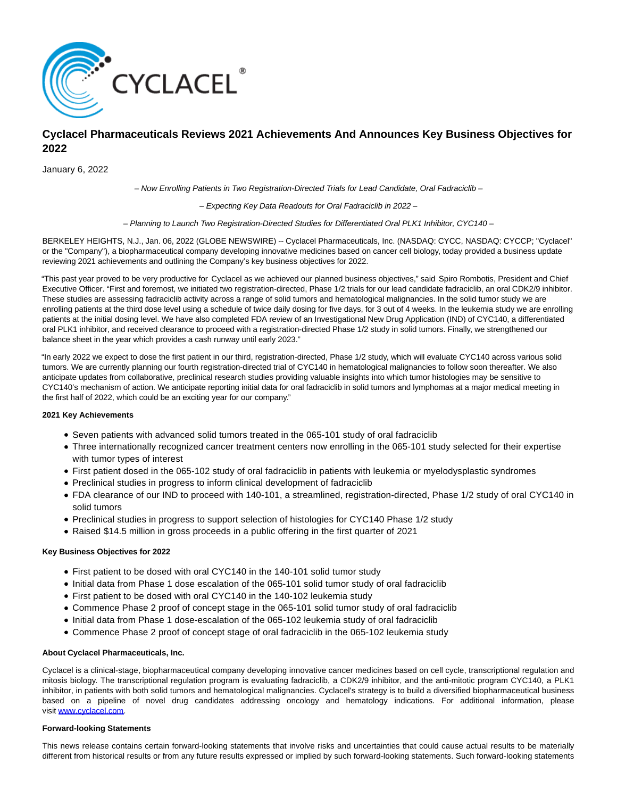

# **Cyclacel Pharmaceuticals Reviews 2021 Achievements And Announces Key Business Objectives for 2022**

January 6, 2022

– Now Enrolling Patients in Two Registration-Directed Trials for Lead Candidate, Oral Fadraciclib –

– Expecting Key Data Readouts for Oral Fadraciclib in 2022 –

– Planning to Launch Two Registration-Directed Studies for Differentiated Oral PLK1 Inhibitor, CYC140 –

BERKELEY HEIGHTS, N.J., Jan. 06, 2022 (GLOBE NEWSWIRE) -- Cyclacel Pharmaceuticals, Inc. (NASDAQ: CYCC, NASDAQ: CYCCP; "Cyclacel" or the "Company"), a biopharmaceutical company developing innovative medicines based on cancer cell biology, today provided a business update reviewing 2021 achievements and outlining the Company's key business objectives for 2022.

"This past year proved to be very productive for Cyclacel as we achieved our planned business objectives," said Spiro Rombotis, President and Chief Executive Officer. "First and foremost, we initiated two registration-directed, Phase 1/2 trials for our lead candidate fadraciclib, an oral CDK2/9 inhibitor. These studies are assessing fadraciclib activity across a range of solid tumors and hematological malignancies. In the solid tumor study we are enrolling patients at the third dose level using a schedule of twice daily dosing for five days, for 3 out of 4 weeks. In the leukemia study we are enrolling patients at the initial dosing level. We have also completed FDA review of an Investigational New Drug Application (IND) of CYC140, a differentiated oral PLK1 inhibitor, and received clearance to proceed with a registration-directed Phase 1/2 study in solid tumors. Finally, we strengthened our balance sheet in the year which provides a cash runway until early 2023."

"In early 2022 we expect to dose the first patient in our third, registration-directed, Phase 1/2 study, which will evaluate CYC140 across various solid tumors. We are currently planning our fourth registration-directed trial of CYC140 in hematological malignancies to follow soon thereafter. We also anticipate updates from collaborative, preclinical research studies providing valuable insights into which tumor histologies may be sensitive to CYC140's mechanism of action. We anticipate reporting initial data for oral fadraciclib in solid tumors and lymphomas at a major medical meeting in the first half of 2022, which could be an exciting year for our company."

## **2021 Key Achievements**

- Seven patients with advanced solid tumors treated in the 065-101 study of oral fadraciclib
- Three internationally recognized cancer treatment centers now enrolling in the 065-101 study selected for their expertise with tumor types of interest
- First patient dosed in the 065-102 study of oral fadraciclib in patients with leukemia or myelodysplastic syndromes
- Preclinical studies in progress to inform clinical development of fadraciclib
- FDA clearance of our IND to proceed with 140-101, a streamlined, registration-directed, Phase 1/2 study of oral CYC140 in solid tumors
- Preclinical studies in progress to support selection of histologies for CYC140 Phase 1/2 study
- Raised \$14.5 million in gross proceeds in a public offering in the first quarter of 2021

## **Key Business Objectives for 2022**

- First patient to be dosed with oral CYC140 in the 140-101 solid tumor study
- Initial data from Phase 1 dose escalation of the 065-101 solid tumor study of oral fadraciclib
- First patient to be dosed with oral CYC140 in the 140-102 leukemia study
- Commence Phase 2 proof of concept stage in the 065-101 solid tumor study of oral fadraciclib
- Initial data from Phase 1 dose-escalation of the 065-102 leukemia study of oral fadraciclib
- Commence Phase 2 proof of concept stage of oral fadraciclib in the 065-102 leukemia study

## **About Cyclacel Pharmaceuticals, Inc.**

Cyclacel is a clinical-stage, biopharmaceutical company developing innovative cancer medicines based on cell cycle, transcriptional regulation and mitosis biology. The transcriptional regulation program is evaluating fadraciclib, a CDK2/9 inhibitor, and the anti-mitotic program CYC140, a PLK1 inhibitor, in patients with both solid tumors and hematological malignancies. Cyclacel's strategy is to build a diversified biopharmaceutical business based on a pipeline of novel drug candidates addressing oncology and hematology indications. For additional information, please visit [www.cyclacel.com.](https://www.globenewswire.com/Tracker?data=MPIzVUXGXGySy_FpGOmPmdpbIHdhtwTlrii42Z2E0e5nM-3A5JzCUf2oX8u6YAeVQSOwMqNlBQdk25qTSiDe_w==)

## **Forward-looking Statements**

This news release contains certain forward-looking statements that involve risks and uncertainties that could cause actual results to be materially different from historical results or from any future results expressed or implied by such forward-looking statements. Such forward-looking statements